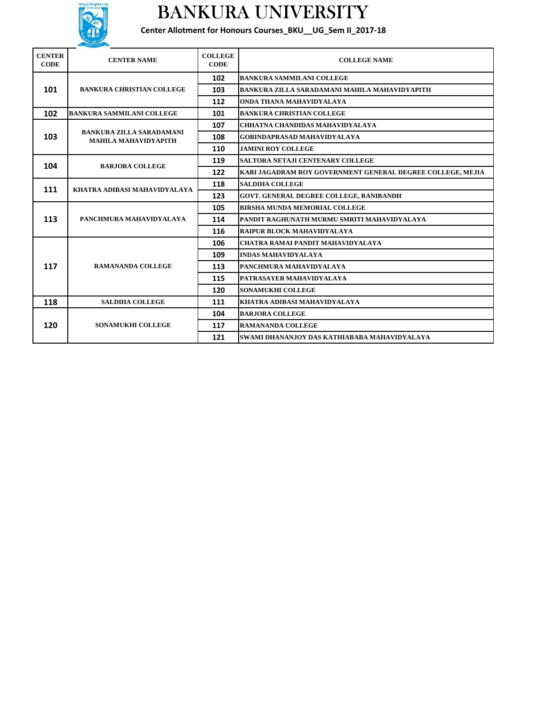

## BANKURA UNIVERSITY

**Center Allotment for Honours Courses\_BKU\_\_UG\_Sem II\_2017-18**

| <b>CENTER</b><br><b>CODE</b> | <b>CENTER NAME</b>                                             | <b>COLLEGE</b><br><b>CODE</b> | <b>COLLEGE NAME</b>                                        |  |
|------------------------------|----------------------------------------------------------------|-------------------------------|------------------------------------------------------------|--|
| 101                          | <b>BANKURA CHRISTIAN COLLEGE</b>                               | 102                           | <b>BANKURA SAMMILANI COLLEGE</b>                           |  |
|                              |                                                                | 103                           | BANKURA ZILLA SARADAMANI MAHILA MAHAVIDYAPITH              |  |
|                              |                                                                | 112                           | ONDA THANA MAHAVIDYALAYA                                   |  |
| 102                          | <b>BANKURA SAMMILANI COLLEGE</b>                               | 101                           | <b>BANKURA CHRISTIAN COLLEGE</b>                           |  |
| 103                          | <b>BANKURA ZILLA SARADAMANI</b><br><b>MAHILA MAHAVIDYAPITH</b> | 107                           | CHHATNA CHANDIDAS MAHAVIDYALAYA                            |  |
|                              |                                                                | 108                           | <b>GOBINDAPRASAD MAHAVIDYALAYA</b>                         |  |
|                              |                                                                | 110                           | <b>JAMINI ROY COLLEGE</b>                                  |  |
| 104                          | <b>BARJORA COLLEGE</b>                                         | 119                           | SALTORA NETAJI CENTENARY COLLEGE                           |  |
|                              |                                                                | 122                           | KABI JAGADRAM ROY GOVERNMENT GENERAL DEGREE COLLEGE, MEJIA |  |
| 111                          | KHATRA ADIBASI MAHAVIDYALAYA                                   | 118                           | <b>SALDIHA COLLEGE</b>                                     |  |
|                              |                                                                | 123                           | GOVT. GENERAL DEGREE COLLEGE, RANIBANDH                    |  |
| 113                          | PANCHMURA MAHAVIDYALAYA                                        | 105                           | <b>BIRSHA MUNDA MEMORIAL COLLEGE</b>                       |  |
|                              |                                                                | 114                           | PANDIT RAGHUNATH MURMU SMRITI MAHAVIDYALAYA                |  |
|                              |                                                                | 116                           | RAIPUR BLOCK MAHAVIDYALAYA                                 |  |
| 117                          | <b>RAMANANDA COLLEGE</b>                                       | 106                           | CHATRA RAMAI PANDIT MAHAVIDYALAYA                          |  |
|                              |                                                                | 109                           | <b>INDAS MAHAVIDYALAYA</b>                                 |  |
|                              |                                                                | 113                           | PANCHMURA MAHAVIDYALAYA                                    |  |
|                              |                                                                | 115                           | PATRASAYER MAHAVIDYALAYA                                   |  |
|                              |                                                                | 120                           | <b>SONAMUKHI COLLEGE</b>                                   |  |
| 118                          | <b>SALDIHA COLLEGE</b>                                         | 111                           | KHATRA ADIBASI MAHAVIDYALAYA                               |  |
| 120                          | <b>SONAMUKHI COLLEGE</b>                                       | 104                           | <b>BARJORA COLLEGE</b>                                     |  |
|                              |                                                                | 117                           | <b>RAMANANDA COLLEGE</b>                                   |  |
|                              |                                                                | 121                           | SWAMI DHANANJOY DAS KATHIABABA MAHAVIDYALAYA               |  |